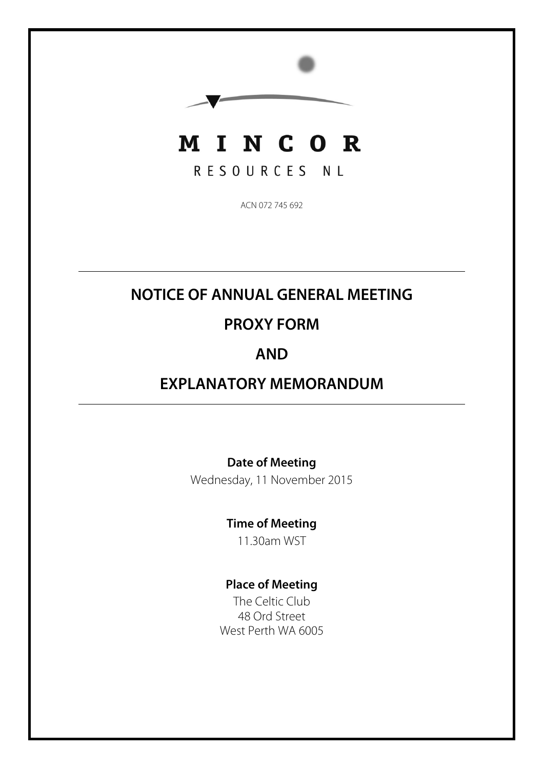

RESOURCES NL

ACN 072 745 692

## **NOTICE OF ANNUAL GENERAL MEETING**

## **PROXY FORM**

## **AND**

## **EXPLANATORY MEMORANDUM**

### **Date of Meeting**

Wednesday, 11 November 2015

### **Time of Meeting**

11.30am WST

### **Place of Meeting**

The Celtic Club 48 Ord Street West Perth WA 6005

ŗ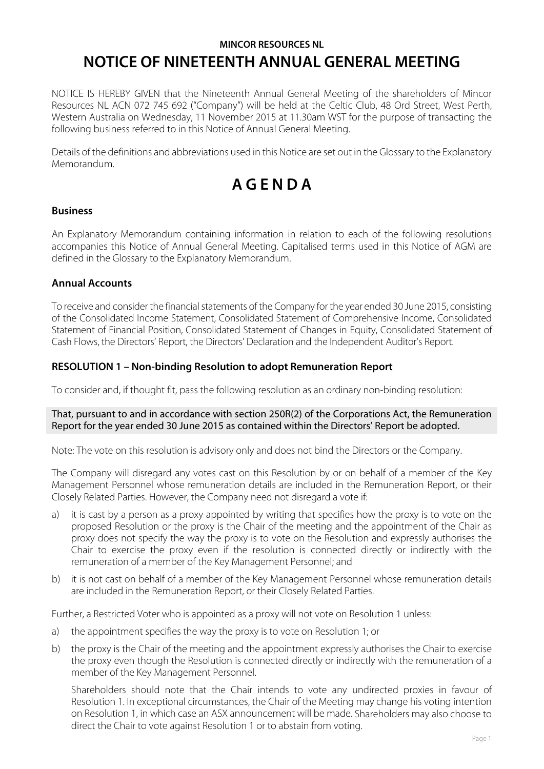### **MINCOR RESOURCES NL NOTICE OF NINETEENTH ANNUAL GENERAL MEETING**

NOTICE IS HEREBY GIVEN that the Nineteenth Annual General Meeting of the shareholders of Mincor Resources NL ACN 072 745 692 ("Company") will be held at the Celtic Club, 48 Ord Street, West Perth, Western Australia on Wednesday, 11 November 2015 at 11.30am WST for the purpose of transacting the following business referred to in this Notice of Annual General Meeting.

Details of the definitions and abbreviations used in this Notice are set out in the Glossary to the Explanatory Memorandum.

# **A G E N D A**

#### **Business**

An Explanatory Memorandum containing information in relation to each of the following resolutions accompanies this Notice of Annual General Meeting. Capitalised terms used in this Notice of AGM are defined in the Glossary to the Explanatory Memorandum.

#### **Annual Accounts**

To receive and consider the financial statements of the Company for the year ended 30 June 2015, consisting of the Consolidated Income Statement, Consolidated Statement of Comprehensive Income, Consolidated Statement of Financial Position, Consolidated Statement of Changes in Equity, Consolidated Statement of Cash Flows, the Directors' Report, the Directors' Declaration and the Independent Auditor's Report.

#### **RESOLUTION 1 – Non-binding Resolution to adopt Remuneration Report**

To consider and, if thought fit, pass the following resolution as an ordinary non-binding resolution:

#### That, pursuant to and in accordance with section 250R(2) of the Corporations Act, the Remuneration Report for the year ended 30 June 2015 as contained within the Directors' Report be adopted.

Note: The vote on this resolution is advisory only and does not bind the Directors or the Company.

The Company will disregard any votes cast on this Resolution by or on behalf of a member of the Key Management Personnel whose remuneration details are included in the Remuneration Report, or their Closely Related Parties. However, the Company need not disregard a vote if:

- a) it is cast by a person as a proxy appointed by writing that specifies how the proxy is to vote on the proposed Resolution or the proxy is the Chair of the meeting and the appointment of the Chair as proxy does not specify the way the proxy is to vote on the Resolution and expressly authorises the Chair to exercise the proxy even if the resolution is connected directly or indirectly with the remuneration of a member of the Key Management Personnel; and
- b) it is not cast on behalf of a member of the Key Management Personnel whose remuneration details are included in the Remuneration Report, or their Closely Related Parties.

Further, a Restricted Voter who is appointed as a proxy will not vote on Resolution 1 unless:

- a) the appointment specifies the way the proxy is to vote on Resolution 1; or
- b) the proxy is the Chair of the meeting and the appointment expressly authorises the Chair to exercise the proxy even though the Resolution is connected directly or indirectly with the remuneration of a member of the Key Management Personnel.

Shareholders should note that the Chair intends to vote any undirected proxies in favour of Resolution 1. In exceptional circumstances, the Chair of the Meeting may change his voting intention on Resolution 1, in which case an ASX announcement will be made. Shareholders may also choose to direct the Chair to vote against Resolution 1 or to abstain from voting.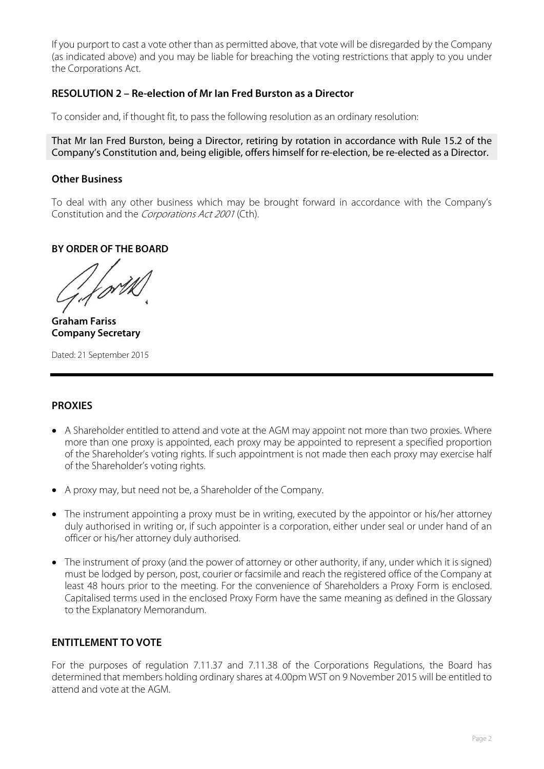If you purport to cast a vote other than as permitted above, that vote will be disregarded by the Company (as indicated above) and you may be liable for breaching the voting restrictions that apply to you under the Corporations Act.

#### **RESOLUTION 2 – Re-election of Mr Ian Fred Burston as a Director**

To consider and, if thought fit, to pass the following resolution as an ordinary resolution:

That Mr Ian Fred Burston, being a Director, retiring by rotation in accordance with Rule 15.2 of the Company's Constitution and, being eligible, offers himself for re-election, be re-elected as a Director.

#### **Other Business**

To deal with any other business which may be brought forward in accordance with the Company's Constitution and the Corporations Act 2001 (Cth).

#### **BY ORDER OF THE BOARD**

**Graham Fariss Company Secretary** 

Dated: 21 September 2015

#### **PROXIES**

- A Shareholder entitled to attend and vote at the AGM may appoint not more than two proxies. Where more than one proxy is appointed, each proxy may be appointed to represent a specified proportion of the Shareholder's voting rights. If such appointment is not made then each proxy may exercise half of the Shareholder's voting rights.
- A proxy may, but need not be, a Shareholder of the Company.
- The instrument appointing a proxy must be in writing, executed by the appointor or his/her attorney duly authorised in writing or, if such appointer is a corporation, either under seal or under hand of an officer or his/her attorney duly authorised.
- The instrument of proxy (and the power of attorney or other authority, if any, under which it is signed) must be lodged by person, post, courier or facsimile and reach the registered office of the Company at least 48 hours prior to the meeting. For the convenience of Shareholders a Proxy Form is enclosed. Capitalised terms used in the enclosed Proxy Form have the same meaning as defined in the Glossary to the Explanatory Memorandum.

#### **ENTITLEMENT TO VOTE**

For the purposes of regulation 7.11.37 and 7.11.38 of the Corporations Regulations, the Board has determined that members holding ordinary shares at 4.00pm WST on 9 November 2015 will be entitled to attend and vote at the AGM.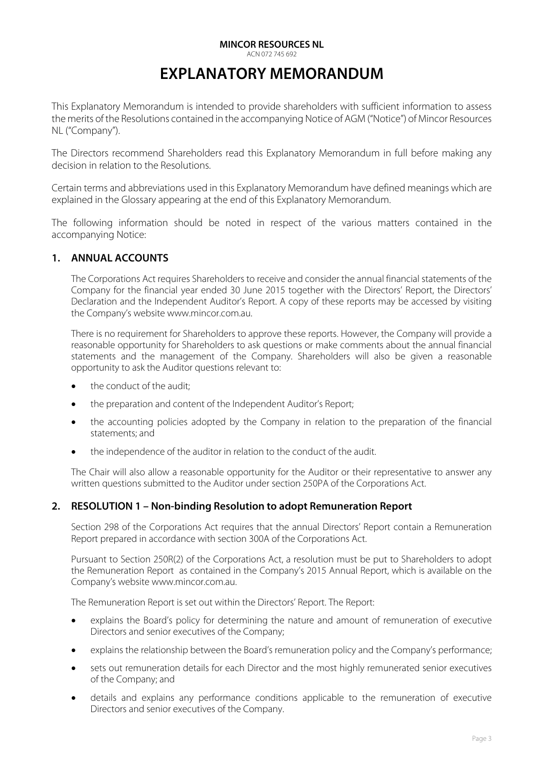#### **MINCOR RESOURCES NL**

ACN 072 745 692

## **EXPLANATORY MEMORANDUM**

This Explanatory Memorandum is intended to provide shareholders with sufficient information to assess the merits of the Resolutions contained in the accompanying Notice of AGM ("Notice") of Mincor Resources NL ("Company").

The Directors recommend Shareholders read this Explanatory Memorandum in full before making any decision in relation to the Resolutions.

Certain terms and abbreviations used in this Explanatory Memorandum have defined meanings which are explained in the Glossary appearing at the end of this Explanatory Memorandum.

The following information should be noted in respect of the various matters contained in the accompanying Notice:

#### **1. ANNUAL ACCOUNTS**

The Corporations Act requires Shareholders to receive and consider the annual financial statements of the Company for the financial year ended 30 June 2015 together with the Directors' Report, the Directors' Declaration and the Independent Auditor's Report. A copy of these reports may be accessed by visiting the Company's website www.mincor.com.au.

There is no requirement for Shareholders to approve these reports. However, the Company will provide a reasonable opportunity for Shareholders to ask questions or make comments about the annual financial statements and the management of the Company. Shareholders will also be given a reasonable opportunity to ask the Auditor questions relevant to:

- $\bullet$  the conduct of the audit;
- the preparation and content of the Independent Auditor's Report;
- the accounting policies adopted by the Company in relation to the preparation of the financial statements; and
- the independence of the auditor in relation to the conduct of the audit.

The Chair will also allow a reasonable opportunity for the Auditor or their representative to answer any written questions submitted to the Auditor under section 250PA of the Corporations Act.

#### **2. RESOLUTION 1 – Non-binding Resolution to adopt Remuneration Report**

Section 298 of the Corporations Act requires that the annual Directors' Report contain a Remuneration Report prepared in accordance with section 300A of the Corporations Act.

Pursuant to Section 250R(2) of the Corporations Act, a resolution must be put to Shareholders to adopt the Remuneration Report as contained in the Company's 2015 Annual Report, which is available on the Company's website www.mincor.com.au.

The Remuneration Report is set out within the Directors' Report. The Report:

- explains the Board's policy for determining the nature and amount of remuneration of executive Directors and senior executives of the Company;
- x explains the relationship between the Board's remuneration policy and the Company's performance;
- sets out remuneration details for each Director and the most highly remunerated senior executives of the Company; and
- details and explains any performance conditions applicable to the remuneration of executive Directors and senior executives of the Company.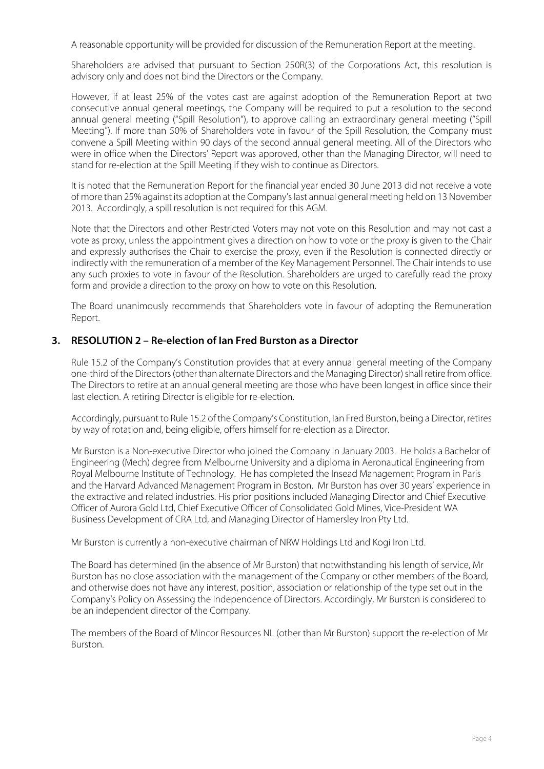A reasonable opportunity will be provided for discussion of the Remuneration Report at the meeting.

Shareholders are advised that pursuant to Section 250R(3) of the Corporations Act, this resolution is advisory only and does not bind the Directors or the Company.

However, if at least 25% of the votes cast are against adoption of the Remuneration Report at two consecutive annual general meetings, the Company will be required to put a resolution to the second annual general meeting ("Spill Resolution"), to approve calling an extraordinary general meeting ("Spill Meeting"). If more than 50% of Shareholders vote in favour of the Spill Resolution, the Company must convene a Spill Meeting within 90 days of the second annual general meeting. All of the Directors who were in office when the Directors' Report was approved, other than the Managing Director, will need to stand for re-election at the Spill Meeting if they wish to continue as Directors.

It is noted that the Remuneration Report for the financial year ended 30 June 2013 did not receive a vote of more than 25% against its adoption at the Company's last annual general meeting held on 13 November 2013. Accordingly, a spill resolution is not required for this AGM.

Note that the Directors and other Restricted Voters may not vote on this Resolution and may not cast a vote as proxy, unless the appointment gives a direction on how to vote or the proxy is given to the Chair and expressly authorises the Chair to exercise the proxy, even if the Resolution is connected directly or indirectly with the remuneration of a member of the Key Management Personnel. The Chair intends to use any such proxies to vote in favour of the Resolution. Shareholders are urged to carefully read the proxy form and provide a direction to the proxy on how to vote on this Resolution.

The Board unanimously recommends that Shareholders vote in favour of adopting the Remuneration Report.

#### **3. RESOLUTION 2 – Re-election of Ian Fred Burston as a Director**

Rule 15.2 of the Company's Constitution provides that at every annual general meeting of the Company one-third of the Directors (other than alternate Directors and the Managing Director) shall retire from office. The Directors to retire at an annual general meeting are those who have been longest in office since their last election. A retiring Director is eligible for re-election.

Accordingly, pursuant to Rule 15.2 of the Company's Constitution, Ian Fred Burston, being a Director, retires by way of rotation and, being eligible, offers himself for re-election as a Director.

Mr Burston is a Non-executive Director who joined the Company in January 2003. He holds a Bachelor of Engineering (Mech) degree from Melbourne University and a diploma in Aeronautical Engineering from Royal Melbourne Institute of Technology. He has completed the Insead Management Program in Paris and the Harvard Advanced Management Program in Boston. Mr Burston has over 30 years' experience in the extractive and related industries. His prior positions included Managing Director and Chief Executive Officer of Aurora Gold Ltd, Chief Executive Officer of Consolidated Gold Mines, Vice-President WA Business Development of CRA Ltd, and Managing Director of Hamersley Iron Pty Ltd.

Mr Burston is currently a non-executive chairman of NRW Holdings Ltd and Kogi Iron Ltd.

The Board has determined (in the absence of Mr Burston) that notwithstanding his length of service, Mr Burston has no close association with the management of the Company or other members of the Board, and otherwise does not have any interest, position, association or relationship of the type set out in the Company's Policy on Assessing the Independence of Directors. Accordingly, Mr Burston is considered to be an independent director of the Company.

The members of the Board of Mincor Resources NL (other than Mr Burston) support the re-election of Mr Burston.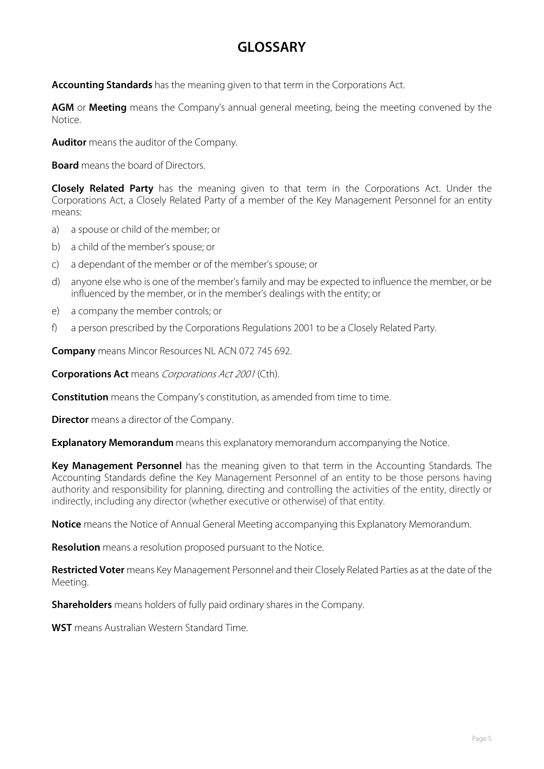## **GLOSSARY**

**Accounting Standards** has the meaning given to that term in the Corporations Act.

**AGM** or **Meeting** means the Company's annual general meeting, being the meeting convened by the Notice.

**Auditor** means the auditor of the Company.

**Board** means the board of Directors.

**Closely Related Party** has the meaning given to that term in the Corporations Act. Under the Corporations Act, a Closely Related Party of a member of the Key Management Personnel for an entity means:

- a) a spouse or child of the member; or
- b) a child of the member's spouse; or
- c) a dependant of the member or of the member's spouse; or
- d) anyone else who is one of the member's family and may be expected to influence the member, or be influenced by the member, or in the member's dealings with the entity; or
- e) a company the member controls; or
- f) a person prescribed by the Corporations Regulations 2001 to be a Closely Related Party.

**Company** means Mincor Resources NL ACN 072 745 692.

**Corporations Act** means *Corporations Act 2001* (Cth).

**Constitution** means the Company's constitution, as amended from time to time.

**Director** means a director of the Company.

**Explanatory Memorandum** means this explanatory memorandum accompanying the Notice.

**Key Management Personnel** has the meaning given to that term in the Accounting Standards. The Accounting Standards define the Key Management Personnel of an entity to be those persons having authority and responsibility for planning, directing and controlling the activities of the entity, directly or indirectly, including any director (whether executive or otherwise) of that entity.

**Notice** means the Notice of Annual General Meeting accompanying this Explanatory Memorandum.

**Resolution** means a resolution proposed pursuant to the Notice.

**Restricted Voter** means Key Management Personnel and their Closely Related Parties as at the date of the Meeting.

**Shareholders** means holders of fully paid ordinary shares in the Company.

**WST** means Australian Western Standard Time.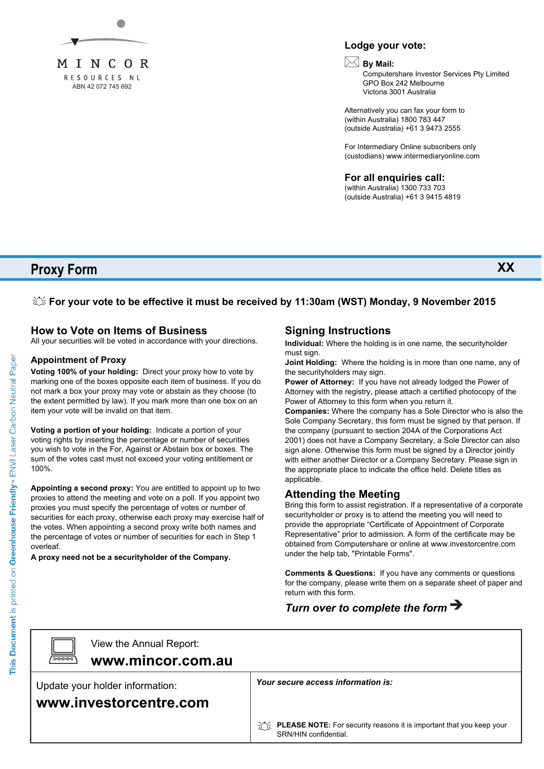

#### **Lodge your vote:**

### **By Mail:**

Computershare Investor Services Pty Limited GPO Box 242 Melbourne Victoria 3001 Australia

Alternatively you can fax your form to (within Australia) 1800 783 447 (outside Australia) +61 3 9473 2555

For Intermediary Online subscribers only (custodians) www.intermediaryonline.com

**For all enquiries call:**

(within Australia) 1300 733 703 (outside Australia) +61 3 9415 4819

**Proxy Form**

**XX**

#### **For your vote to be effective it must be received by 11:30am (WST) Monday, 9 November 2015**

#### **How to Vote on Items of Business**

All your securities will be voted in accordance with your directions.

#### **Appointment of Proxy**

**Voting 100% of your holding:** Direct your proxy how to vote by marking one of the boxes opposite each item of business. If you do not mark a box your proxy may vote or abstain as they choose (to the extent permitted by law). If you mark more than one box on an item your vote will be invalid on that item.

**Voting a portion of your holding:** Indicate a portion of your voting rights by inserting the percentage or number of securities you wish to vote in the For, Against or Abstain box or boxes. The sum of the votes cast must not exceed your voting entitlement or 100%.

**Appointing a second proxy:** You are entitled to appoint up to two proxies to attend the meeting and vote on a poll. If you appoint two proxies you must specify the percentage of votes or number of securities for each proxy, otherwise each proxy may exercise half of the votes. When appointing a second proxy write both names and the percentage of votes or number of securities for each in Step 1 overleaf.

**A proxy need not be a securityholder of the Company.**

#### **Signing Instructions**

**Individual:** Where the holding is in one name, the securityholder must sign.

**Joint Holding:** Where the holding is in more than one name, any of the securityholders may sign.

**Power of Attorney:** If you have not already lodged the Power of Attorney with the registry, please attach a certified photocopy of the Power of Attorney to this form when you return it.

**Companies:** Where the company has a Sole Director who is also the Sole Company Secretary, this form must be signed by that person. If the company (pursuant to section 204A of the Corporations Act 2001) does not have a Company Secretary, a Sole Director can also sign alone. Otherwise this form must be signed by a Director jointly with either another Director or a Company Secretary. Please sign in the appropriate place to indicate the office held. Delete titles as applicable.

#### **Attending the Meeting**

Bring this form to assist registration. If a representative of a corporate securityholder or proxy is to attend the meeting you will need to provide the appropriate "Certificate of Appointment of Corporate Representative" prior to admission. A form of the certificate may be obtained from Computershare or online at www.investorcentre.com under the help tab, "Printable Forms".

**Comments & Questions:** If you have any comments or questions for the company, please write them on a separate sheet of paper and return with this form.

### *Turn over to complete the form*



**www.mincor.com.au** View the Annual Report:

Update your holder information:

**www.investorcentre.com**

*Your secure access information is:*

**PLEASE NOTE:** For security reasons it is important that you keep your SRN/HIN confidential.